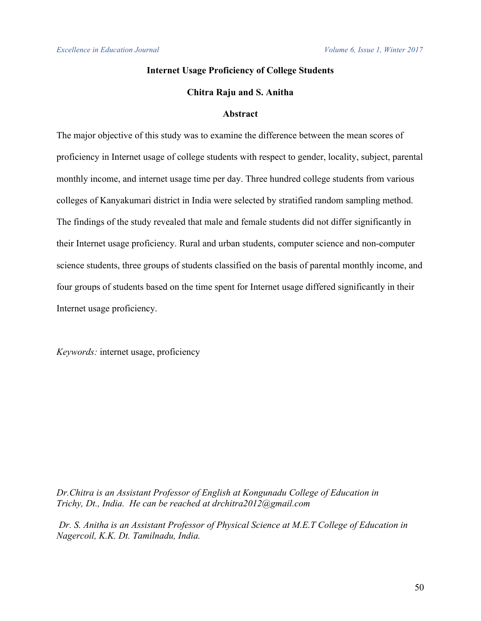# **Internet Usage Proficiency of College Students**

## **Chitra Raju and S. Anitha**

## **Abstract**

The major objective of this study was to examine the difference between the mean scores of proficiency in Internet usage of college students with respect to gender, locality, subject, parental monthly income, and internet usage time per day. Three hundred college students from various colleges of Kanyakumari district in India were selected by stratified random sampling method. The findings of the study revealed that male and female students did not differ significantly in their Internet usage proficiency. Rural and urban students, computer science and non-computer science students, three groups of students classified on the basis of parental monthly income, and four groups of students based on the time spent for Internet usage differed significantly in their Internet usage proficiency.

*Keywords:* internet usage, proficiency

*Dr.Chitra is an Assistant Professor of English at Kongunadu College of Education in Trichy, Dt., India. He can be reached at drchitra2012@gmail.com*

*Dr. S. Anitha is an Assistant Professor of Physical Science at M.E.T College of Education in Nagercoil, K.K. Dt. Tamilnadu, India.*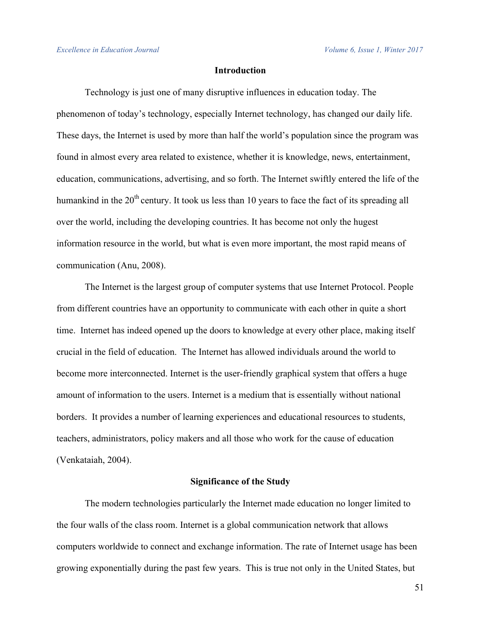# **Introduction**

Technology is just one of many disruptive influences in education today. The phenomenon of today's technology, especially Internet technology, has changed our daily life. These days, the Internet is used by more than half the world's population since the program was found in almost every area related to existence, whether it is knowledge, news, entertainment, education, communications, advertising, and so forth. The Internet swiftly entered the life of the humankind in the  $20<sup>th</sup>$  century. It took us less than 10 years to face the fact of its spreading all over the world, including the developing countries. It has become not only the hugest information resource in the world, but what is even more important, the most rapid means of communication (Anu, 2008).

The Internet is the largest group of computer systems that use Internet Protocol. People from different countries have an opportunity to communicate with each other in quite a short time. Internet has indeed opened up the doors to knowledge at every other place, making itself crucial in the field of education. The Internet has allowed individuals around the world to become more interconnected. Internet is the user-friendly graphical system that offers a huge amount of information to the users. Internet is a medium that is essentially without national borders. It provides a number of learning experiences and educational resources to students, teachers, administrators, policy makers and all those who work for the cause of education (Venkataiah, 2004).

### **Significance of the Study**

The modern technologies particularly the Internet made education no longer limited to the four walls of the class room. Internet is a global communication network that allows computers worldwide to connect and exchange information. The rate of Internet usage has been growing exponentially during the past few years. This is true not only in the United States, but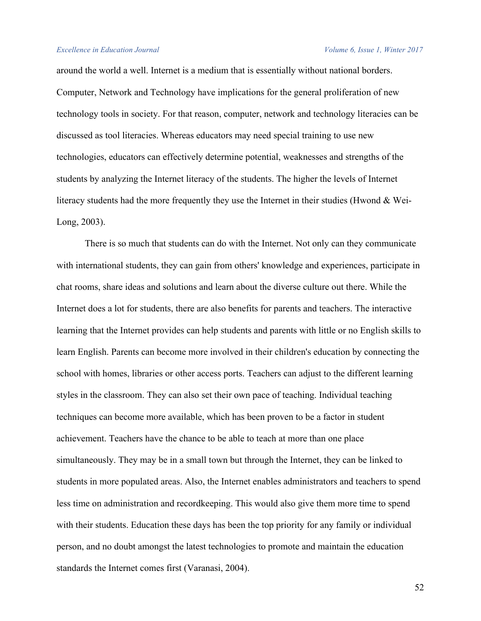#### *Excellence in Education Journal Volume 6, Issue 1, Winter 2017*

around the world a well. Internet is a medium that is essentially without national borders. Computer, Network and Technology have implications for the general proliferation of new technology tools in society. For that reason, computer, network and technology literacies can be discussed as tool literacies. Whereas educators may need special training to use new technologies, educators can effectively determine potential, weaknesses and strengths of the students by analyzing the Internet literacy of the students. The higher the levels of Internet literacy students had the more frequently they use the Internet in their studies (Hwond  $\&$  Wei-Long, 2003).

There is so much that students can do with the Internet. Not only can they communicate with international students, they can gain from others' knowledge and experiences, participate in chat rooms, share ideas and solutions and learn about the diverse culture out there. While the Internet does a lot for students, there are also benefits for parents and teachers. The interactive learning that the Internet provides can help students and parents with little or no English skills to learn English. Parents can become more involved in their children's education by connecting the school with homes, libraries or other access ports. Teachers can adjust to the different learning styles in the classroom. They can also set their own pace of teaching. Individual teaching techniques can become more available, which has been proven to be a factor in student achievement. Teachers have the chance to be able to teach at more than one place simultaneously. They may be in a small town but through the Internet, they can be linked to students in more populated areas. Also, the Internet enables administrators and teachers to spend less time on administration and recordkeeping. This would also give them more time to spend with their students. Education these days has been the top priority for any family or individual person, and no doubt amongst the latest technologies to promote and maintain the education standards the Internet comes first (Varanasi, 2004).

52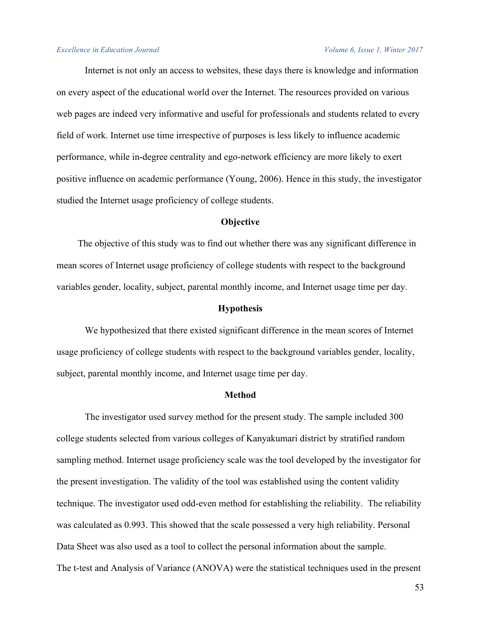Internet is not only an access to websites, these days there is knowledge and information on every aspect of the educational world over the Internet. The resources provided on various web pages are indeed very informative and useful for professionals and students related to every field of work. Internet use time irrespective of purposes is less likely to influence academic performance, while in-degree centrality and ego-network efficiency are more likely to exert positive influence on academic performance (Young, 2006). Hence in this study, the investigator studied the Internet usage proficiency of college students.

#### **Objective**

The objective of this study was to find out whether there was any significant difference in mean scores of Internet usage proficiency of college students with respect to the background variables gender, locality, subject, parental monthly income, and Internet usage time per day.

#### **Hypothesis**

We hypothesized that there existed significant difference in the mean scores of Internet usage proficiency of college students with respect to the background variables gender, locality, subject, parental monthly income, and Internet usage time per day.

#### **Method**

The investigator used survey method for the present study. The sample included 300 college students selected from various colleges of Kanyakumari district by stratified random sampling method. Internet usage proficiency scale was the tool developed by the investigator for the present investigation. The validity of the tool was established using the content validity technique. The investigator used odd-even method for establishing the reliability. The reliability was calculated as 0.993. This showed that the scale possessed a very high reliability. Personal Data Sheet was also used as a tool to collect the personal information about the sample. The t-test and Analysis of Variance (ANOVA) were the statistical techniques used in the present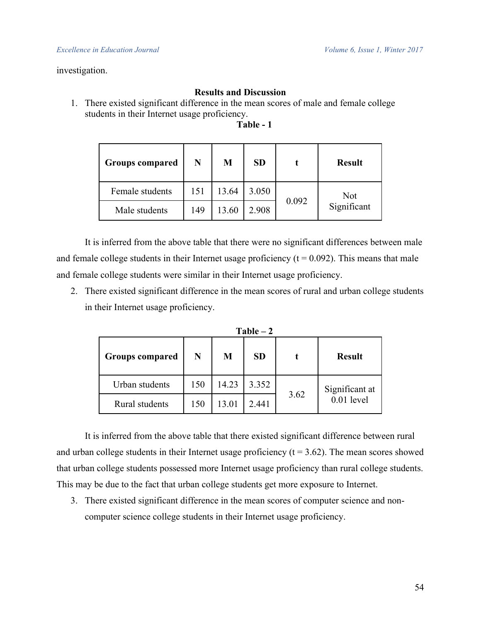## investigation.

# **Results and Discussion**

1. There existed significant difference in the mean scores of male and female college students in their Internet usage proficiency.

**Table - 1**

| <b>Groups compared</b> | N   | M     | <b>SD</b> |       | <b>Result</b> |  |
|------------------------|-----|-------|-----------|-------|---------------|--|
| Female students        | 151 | 13.64 | 3.050     | 0.092 | Not           |  |
| Male students          | 149 | 13.60 | 2.908     |       | Significant   |  |

It is inferred from the above table that there were no significant differences between male and female college students in their Internet usage proficiency  $(t = 0.092)$ . This means that male and female college students were similar in their Internet usage proficiency.

2. There existed significant difference in the mean scores of rural and urban college students in their Internet usage proficiency.

| $Table - 2$            |     |       |           |      |                |  |  |
|------------------------|-----|-------|-----------|------|----------------|--|--|
| <b>Groups compared</b> | N   | M     | <b>SD</b> |      | <b>Result</b>  |  |  |
| Urban students         | 150 | 14.23 | 3.352     |      | Significant at |  |  |
| Rural students         | 150 | 13.01 | 2.441     | 3.62 | $0.01$ level   |  |  |

It is inferred from the above table that there existed significant difference between rural and urban college students in their Internet usage proficiency  $(t = 3.62)$ . The mean scores showed that urban college students possessed more Internet usage proficiency than rural college students. This may be due to the fact that urban college students get more exposure to Internet.

3. There existed significant difference in the mean scores of computer science and noncomputer science college students in their Internet usage proficiency.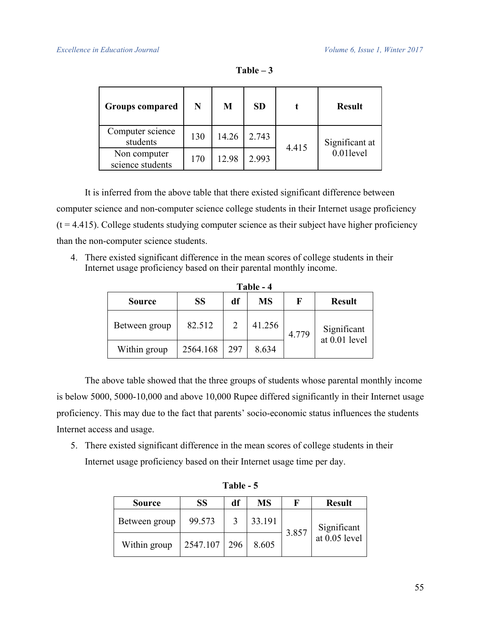| <b>Groups compared</b>           | N   | M     | <b>SD</b> |       | <b>Result</b>  |  |
|----------------------------------|-----|-------|-----------|-------|----------------|--|
| Computer science<br>students     | 130 | 14.26 | 2.743     | 4.415 | Significant at |  |
| Non computer<br>science students | 170 | 12.98 | 2.993     |       | 0.01level      |  |

| able |  |  |
|------|--|--|
|------|--|--|

It is inferred from the above table that there existed significant difference between computer science and non-computer science college students in their Internet usage proficiency  $(t = 4.415)$ . College students studying computer science as their subject have higher proficiency than the non-computer science students.

4. There existed significant difference in the mean scores of college students in their Internet usage proficiency based on their parental monthly income.

| Table - 4     |          |     |           |       |                              |  |  |
|---------------|----------|-----|-----------|-------|------------------------------|--|--|
| Source        | SS       | df  | <b>MS</b> | F     | <b>Result</b>                |  |  |
| Between group | 82.512   | 2   | 41.256    | 4.779 | Significant<br>at 0.01 level |  |  |
| Within group  | 2564.168 | 297 | 8.634     |       |                              |  |  |

**Table - 4**

The above table showed that the three groups of students whose parental monthly income is below 5000, 5000-10,000 and above 10,000 Rupee differed significantly in their Internet usage proficiency. This may due to the fact that parents' socio-economic status influences the students Internet access and usage.

5. There existed significant difference in the mean scores of college students in their Internet usage proficiency based on their Internet usage time per day.

| <b>Source</b> | <b>SS</b> | df  | <b>MS</b> | F     | <b>Result</b>                |
|---------------|-----------|-----|-----------|-------|------------------------------|
| Between group | 99.573    |     | 33.191    | 3.857 | Significant<br>at 0.05 level |
| Within group  | 2547.107  | 296 | 8.605     |       |                              |

**Table - 5**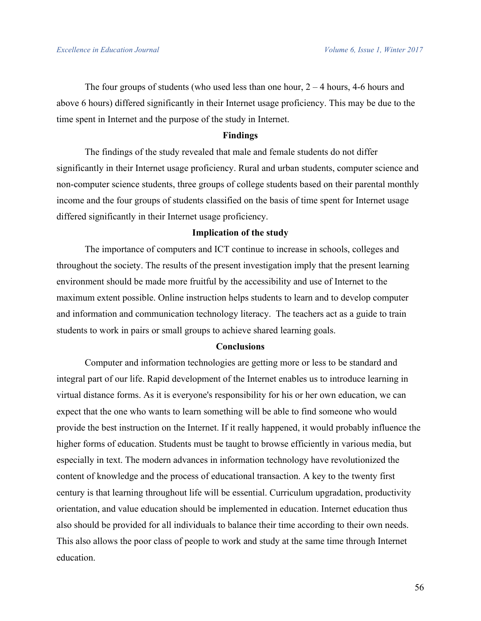The four groups of students (who used less than one hour,  $2 - 4$  hours, 4-6 hours and above 6 hours) differed significantly in their Internet usage proficiency. This may be due to the time spent in Internet and the purpose of the study in Internet.

#### **Findings**

The findings of the study revealed that male and female students do not differ significantly in their Internet usage proficiency. Rural and urban students, computer science and non-computer science students, three groups of college students based on their parental monthly income and the four groups of students classified on the basis of time spent for Internet usage differed significantly in their Internet usage proficiency.

### **Implication of the study**

The importance of computers and ICT continue to increase in schools, colleges and throughout the society. The results of the present investigation imply that the present learning environment should be made more fruitful by the accessibility and use of Internet to the maximum extent possible. Online instruction helps students to learn and to develop computer and information and communication technology literacy. The teachers act as a guide to train students to work in pairs or small groups to achieve shared learning goals.

#### **Conclusions**

Computer and information technologies are getting more or less to be standard and integral part of our life. Rapid development of the Internet enables us to introduce learning in virtual distance forms. As it is everyone's responsibility for his or her own education, we can expect that the one who wants to learn something will be able to find someone who would provide the best instruction on the Internet. If it really happened, it would probably influence the higher forms of education. Students must be taught to browse efficiently in various media, but especially in text. The modern advances in information technology have revolutionized the content of knowledge and the process of educational transaction. A key to the twenty first century is that learning throughout life will be essential. Curriculum upgradation, productivity orientation, and value education should be implemented in education. Internet education thus also should be provided for all individuals to balance their time according to their own needs. This also allows the poor class of people to work and study at the same time through Internet education.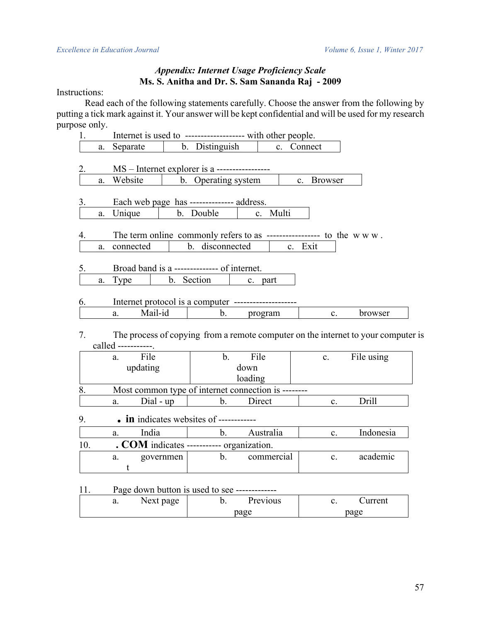# *Appendix: Internet Usage Proficiency Scale* **Ms. S. Anitha and Dr. S. Sam Sananda Raj - 2009**

Instructions:

Read each of the following statements carefully. Choose the answer from the following by putting a tick mark against it. Your answer will be kept confidential and will be used for my research purpose only.

|     |    | Internet is used to ------------------- with other people. |           |                     |              |            |            |                |                                                                                   |
|-----|----|------------------------------------------------------------|-----------|---------------------|--------------|------------|------------|----------------|-----------------------------------------------------------------------------------|
|     |    | a. Separate                                                |           | b. Distinguish      |              |            | c. Connect |                |                                                                                   |
|     |    |                                                            |           |                     |              |            |            |                |                                                                                   |
| 2.  |    | MS – Internet explorer is a -----------------              |           |                     |              |            |            |                |                                                                                   |
|     | a. | Website                                                    |           | b. Operating system |              |            |            | c. Browser     |                                                                                   |
|     |    |                                                            |           |                     |              |            |            |                |                                                                                   |
| 3.  |    | Each web page has -------------- address.                  |           |                     |              |            |            |                |                                                                                   |
|     | a. | Unique                                                     |           | b. Double           |              | c. Multi   |            |                |                                                                                   |
|     |    |                                                            |           |                     |              |            |            |                |                                                                                   |
| 4.  |    |                                                            |           |                     |              |            |            |                |                                                                                   |
|     | a. | connected                                                  |           | b. disconnected     |              |            | c. Exit    |                |                                                                                   |
| 5.  |    | Broad band is a --------------- of internet.               |           |                     |              |            |            |                |                                                                                   |
|     |    | Type                                                       |           | b. Section          |              | c. part    |            |                |                                                                                   |
|     | a. |                                                            |           |                     |              |            |            |                |                                                                                   |
| 6.  |    |                                                            |           |                     |              |            |            |                |                                                                                   |
|     |    | Mail-id<br>a.                                              |           | $\mathbf{b}$ .      |              | program    |            | $c_{\cdot}$    | browser                                                                           |
|     |    |                                                            |           |                     |              |            |            |                |                                                                                   |
| 7.  |    |                                                            |           |                     |              |            |            |                | The process of copying from a remote computer on the internet to your computer is |
|     |    | called -----------                                         |           |                     |              |            |            |                |                                                                                   |
|     |    | File<br>a.                                                 |           | $\mathbf b$ .       | File         |            |            | $c_{-}$        | File using                                                                        |
|     |    | updating                                                   |           |                     | down         |            |            |                |                                                                                   |
|     |    |                                                            |           |                     | loading      |            |            |                |                                                                                   |
| 8.  |    | Most common type of internet connection is --------        |           |                     |              |            |            |                |                                                                                   |
|     |    | $Dial - up$<br>a.                                          |           | $\mathbf b$ .       |              | Direct     |            | $c_{\cdot}$    | Drill                                                                             |
|     |    |                                                            |           |                     |              |            |            |                |                                                                                   |
| 9.  |    | $\bullet$ in indicates websites of ------------            |           |                     |              |            |            |                |                                                                                   |
|     |    | India<br>a.                                                |           |                     | b. Australia |            |            | $c_{\cdot}$    | Indonesia                                                                         |
| 10. |    | . COM indicates ---------- organization.                   |           |                     |              |            |            |                |                                                                                   |
|     |    | a.                                                         | governmen | b.                  |              | commercial |            | $\mathbf{c}$ . | academic                                                                          |
|     |    | t                                                          |           |                     |              |            |            |                |                                                                                   |
|     |    |                                                            |           |                     |              |            |            |                |                                                                                   |

11. Page down button is used to see -------------

| u. | Next<br>page<br>J | revious<br>U. | urrent |
|----|-------------------|---------------|--------|
|    |                   | page          | page   |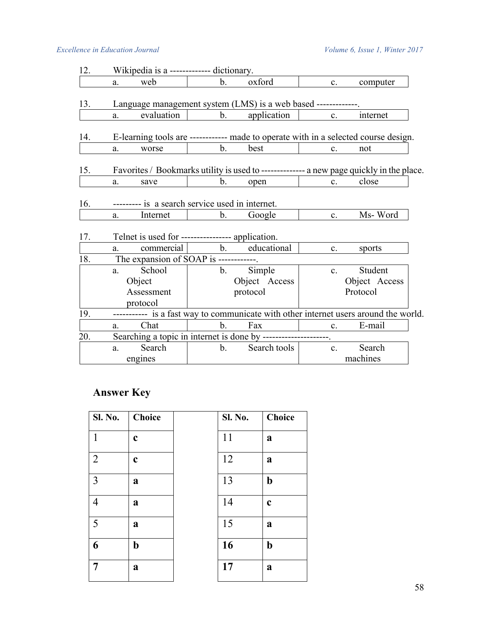# *Excellence in Education Journal Volume 6, Issue 1, Winter 2017*

| 12. |    | Wikipedia is a ------------ dictionary.          |                |                                                                |                |                                                                                          |
|-----|----|--------------------------------------------------|----------------|----------------------------------------------------------------|----------------|------------------------------------------------------------------------------------------|
|     | a. | web                                              | $\mathbf{b}$ . | oxford                                                         |                | computer<br>$c_{\rm m}$                                                                  |
| 13. |    |                                                  |                | Language management system (LMS) is a web based -----------    |                |                                                                                          |
|     | a. | evaluation                                       | b.             | application                                                    | $\mathbf{c}$ . | internet                                                                                 |
| 14. |    |                                                  |                |                                                                |                | E-learning tools are ------------ made to operate with in a selected course design.      |
|     | a. | worse                                            | b.             | best                                                           | $\mathbf{c}$ . | not                                                                                      |
| 15. |    |                                                  |                |                                                                |                | Favorites / Bookmarks utility is used to -------------- a new page quickly in the place. |
|     | a. | save                                             | b.             | open                                                           | $c_{\cdot}$    | close                                                                                    |
| 16. |    | --------- is a search service used in internet.  |                |                                                                |                |                                                                                          |
|     | a. | Internet                                         | $b_{\cdot}$    | Google                                                         | $\mathbf{c}$ . | Ms-Word                                                                                  |
| 17. |    | Telnet is used for ---------------- application. |                |                                                                |                |                                                                                          |
|     | a. | commercial                                       |                | b. educational                                                 | $\mathbf{c}$ . | sports                                                                                   |
| 18. |    | The expansion of SOAP is ------------.           |                |                                                                |                |                                                                                          |
|     | a. | School                                           | b.             | Simple                                                         | $c_{\cdot}$    | Student                                                                                  |
|     |    | Object                                           |                | Object Access                                                  |                | Object Access                                                                            |
|     |    | Assessment                                       |                | protocol                                                       |                | Protocol                                                                                 |
|     |    | protocol                                         |                |                                                                |                |                                                                                          |
| 19. |    |                                                  |                |                                                                |                | ---------- is a fast way to communicate with other internet users around the world.      |
|     | a. | Chat                                             | b.             | Fax                                                            | $c_{\cdot}$    | E-mail                                                                                   |
| 20. |    |                                                  |                | Searching a topic in internet is done by --------------------- |                |                                                                                          |
|     | a. | Search                                           | $\mathbf{b}$ . | Search tools                                                   | $c_{\cdot}$    | Search                                                                                   |
|     |    | engines                                          |                |                                                                |                | machines                                                                                 |

# **Answer Key**

| <b>Sl. No.</b> | <b>Choice</b> | <b>Sl. No.</b> | <b>Choice</b> |
|----------------|---------------|----------------|---------------|
| $\mathbf{1}$   | $\mathbf c$   | 11             | a             |
| $\overline{2}$ | $\mathbf c$   | 12             | a             |
| 3              | a             | 13             | $\mathbf b$   |
| $\overline{4}$ | a             | 14             | $\mathbf c$   |
| 5              | a             | 15             | a             |
| 6              | $\mathbf b$   | 16             | $\mathbf b$   |
| 7              | a             | 17             | $\mathbf a$   |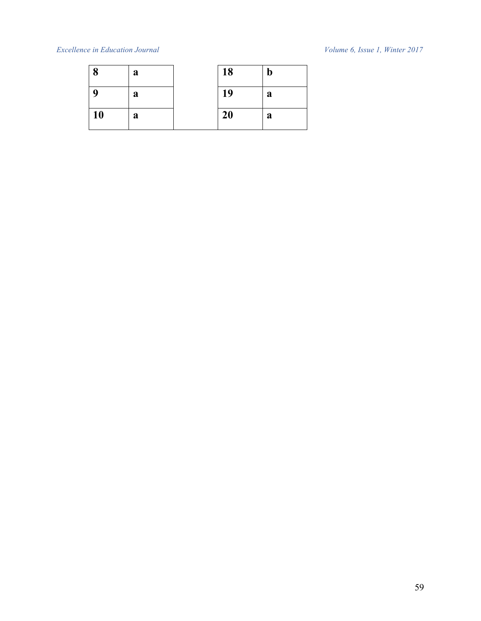# *Excellence in Education Journal Volume 6, Issue 1, Winter 2017*

| 8  | a | 18 | $\mathbf b$ |
|----|---|----|-------------|
| Q  | a | 19 | a           |
| 10 | a | 20 | a           |